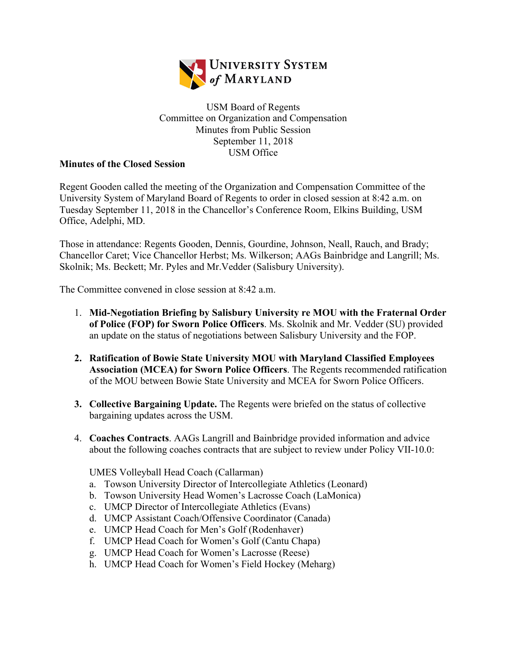

## USM Board of Regents Committee on Organization and Compensation Minutes from Public Session September 11, 2018 USM Office

## **Minutes of the Closed Session**

Regent Gooden called the meeting of the Organization and Compensation Committee of the University System of Maryland Board of Regents to order in closed session at 8:42 a.m. on Tuesday September 11, 2018 in the Chancellor's Conference Room, Elkins Building, USM Office, Adelphi, MD.

Those in attendance: Regents Gooden, Dennis, Gourdine, Johnson, Neall, Rauch, and Brady; Chancellor Caret; Vice Chancellor Herbst; Ms. Wilkerson; AAGs Bainbridge and Langrill; Ms. Skolnik; Ms. Beckett; Mr. Pyles and Mr.Vedder (Salisbury University).

The Committee convened in close session at 8:42 a.m.

- 1. **Mid-Negotiation Briefing by Salisbury University re MOU with the Fraternal Order of Police (FOP) for Sworn Police Officers**. Ms. Skolnik and Mr. Vedder (SU) provided an update on the status of negotiations between Salisbury University and the FOP.
- **2. Ratification of Bowie State University MOU with Maryland Classified Employees Association (MCEA) for Sworn Police Officers**. The Regents recommended ratification of the MOU between Bowie State University and MCEA for Sworn Police Officers.
- **3. Collective Bargaining Update.** The Regents were briefed on the status of collective bargaining updates across the USM.
- 4. **Coaches Contracts**. AAGs Langrill and Bainbridge provided information and advice about the following coaches contracts that are subject to review under Policy VII-10.0:

UMES Volleyball Head Coach (Callarman)

- a. Towson University Director of Intercollegiate Athletics (Leonard)
- b. Towson University Head Women's Lacrosse Coach (LaMonica)
- c. UMCP Director of Intercollegiate Athletics (Evans)
- d. UMCP Assistant Coach/Offensive Coordinator (Canada)
- e. UMCP Head Coach for Men's Golf (Rodenhaver)
- f. UMCP Head Coach for Women's Golf (Cantu Chapa)
- g. UMCP Head Coach for Women's Lacrosse (Reese)
- h. UMCP Head Coach for Women's Field Hockey (Meharg)